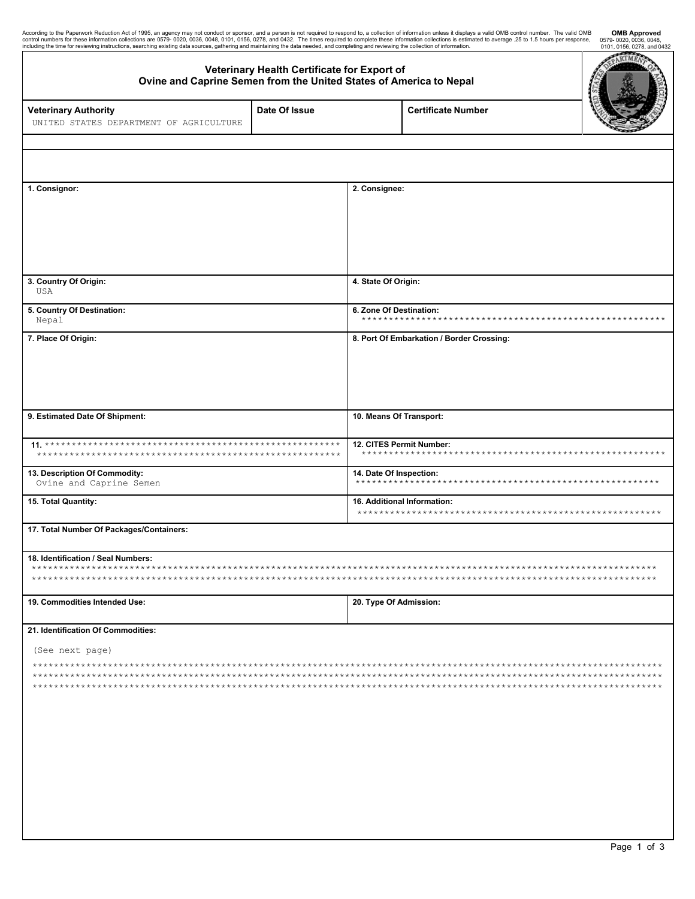| According to the Paperwork Reduction Act of 1995, an agency may not conduct or sponsor, and a person is not required to respond to, a collection of information unless it displays a valid OMB control number. The valid OMB<br>c<br>including the time for reviewing instructions, searching existing data sources, gathering and maintaining the data needed, and completing and reviewing the collection of information. |                                             |                                                 |                                           | <b>OMB Approved</b><br>0579-0020, 0036, 0048,<br>0101, 0156, 0278, and 0432 |
|-----------------------------------------------------------------------------------------------------------------------------------------------------------------------------------------------------------------------------------------------------------------------------------------------------------------------------------------------------------------------------------------------------------------------------|---------------------------------------------|-------------------------------------------------|-------------------------------------------|-----------------------------------------------------------------------------|
| Ovine and Caprine Semen from the United States of America to Nepal                                                                                                                                                                                                                                                                                                                                                          | Veterinary Health Certificate for Export of |                                                 |                                           | RTM                                                                         |
| <b>Veterinary Authority</b><br>UNITED STATES DEPARTMENT OF AGRICULTURE                                                                                                                                                                                                                                                                                                                                                      | Date Of Issue                               |                                                 | <b>Certificate Number</b>                 |                                                                             |
|                                                                                                                                                                                                                                                                                                                                                                                                                             |                                             |                                                 |                                           |                                                                             |
| 1. Consignor:                                                                                                                                                                                                                                                                                                                                                                                                               |                                             | 2. Consignee:                                   |                                           |                                                                             |
|                                                                                                                                                                                                                                                                                                                                                                                                                             |                                             |                                                 |                                           |                                                                             |
| 3. Country Of Origin:<br>USA                                                                                                                                                                                                                                                                                                                                                                                                |                                             | 4. State Of Origin:                             |                                           |                                                                             |
| 5. Country Of Destination:<br>Nepal                                                                                                                                                                                                                                                                                                                                                                                         |                                             | 6. Zone Of Destination:<br>******************** |                                           |                                                                             |
| 7. Place Of Origin:                                                                                                                                                                                                                                                                                                                                                                                                         |                                             |                                                 | 8. Port Of Embarkation / Border Crossing: |                                                                             |
| 9. Estimated Date Of Shipment:                                                                                                                                                                                                                                                                                                                                                                                              |                                             | 10. Means Of Transport:                         |                                           |                                                                             |
|                                                                                                                                                                                                                                                                                                                                                                                                                             |                                             | 12. CITES Permit Number:<br>******************* |                                           |                                                                             |
| 13. Description Of Commodity:<br>Ovine and Caprine Semen                                                                                                                                                                                                                                                                                                                                                                    |                                             | 14. Date Of Inspection:                         |                                           |                                                                             |
| 15. Total Quantity:                                                                                                                                                                                                                                                                                                                                                                                                         |                                             | 16. Additional Information:                     |                                           |                                                                             |
| 17. Total Number Of Packages/Containers:                                                                                                                                                                                                                                                                                                                                                                                    |                                             |                                                 |                                           |                                                                             |
| 18. Identification / Seal Numbers:<br>$***$                                                                                                                                                                                                                                                                                                                                                                                 |                                             |                                                 |                                           |                                                                             |
| 19. Commodities Intended Use:                                                                                                                                                                                                                                                                                                                                                                                               |                                             | 20. Type Of Admission:                          |                                           |                                                                             |
| 21. Identification Of Commodities:                                                                                                                                                                                                                                                                                                                                                                                          |                                             |                                                 |                                           |                                                                             |
| (See next page)                                                                                                                                                                                                                                                                                                                                                                                                             |                                             |                                                 |                                           |                                                                             |
|                                                                                                                                                                                                                                                                                                                                                                                                                             |                                             |                                                 |                                           |                                                                             |

 $\overline{\phantom{a}}$ 

 $\mathbf{l}$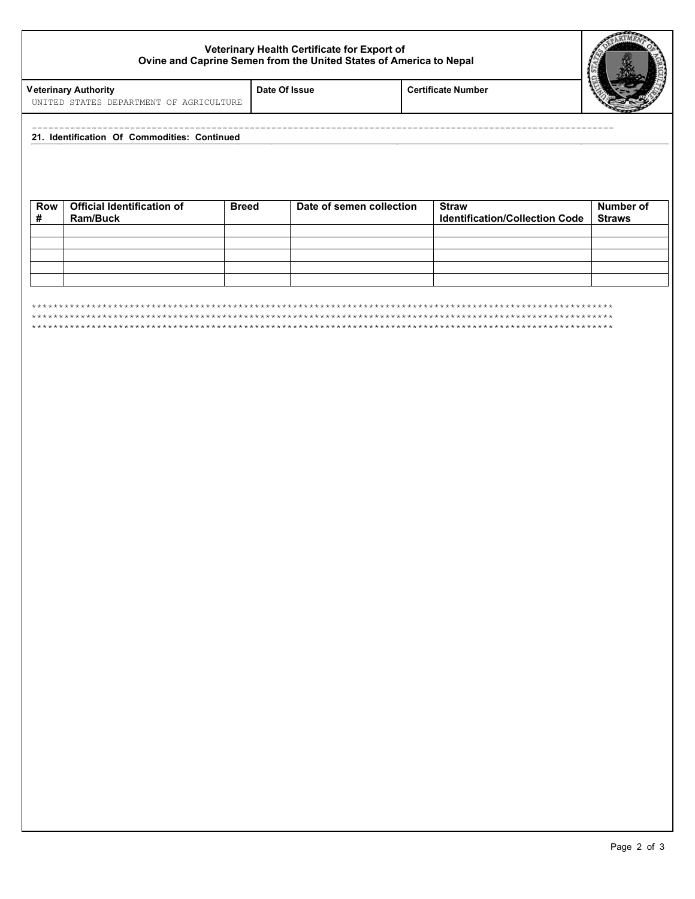## **Veterinary Health Certificate for Export of Ovine and Caprine Semen from the United States of America to Nepal**



**V eterinary Authority Date Of Issue Certificate Number** 

|  | 21. Identification Of Commodities: |  |
|--|------------------------------------|--|

| <b>Row</b> | <b>Official Identification of</b><br><b>Ram/Buck</b> | <b>Breed</b> | Date of semen collection | <b>Straw</b><br><b>Identification/Collection Code</b> | Number of<br><b>Straws</b> |
|------------|------------------------------------------------------|--------------|--------------------------|-------------------------------------------------------|----------------------------|
|            |                                                      |              |                          |                                                       |                            |
|            |                                                      |              |                          |                                                       |                            |
|            |                                                      |              |                          |                                                       |                            |
|            |                                                      |              |                          |                                                       |                            |
|            |                                                      |              |                          |                                                       |                            |